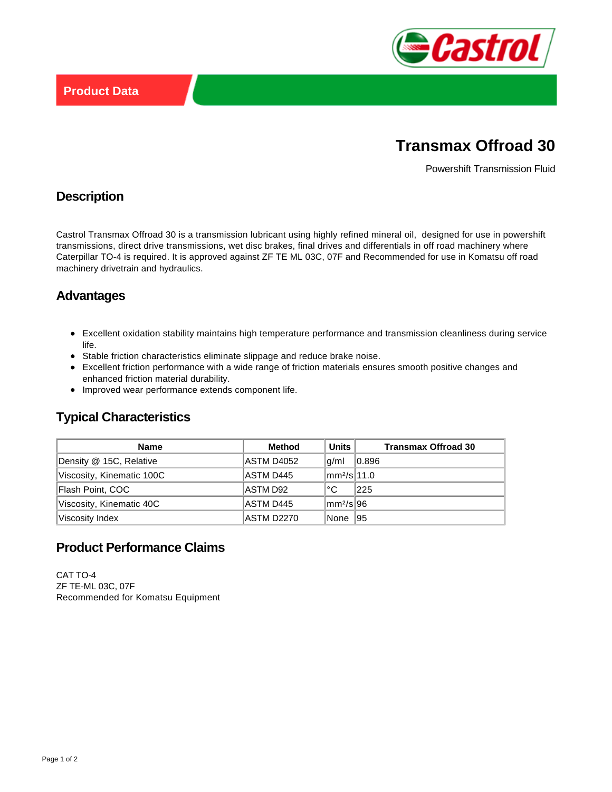

# **Transmax Offroad 30**

Powershift Transmission Fluid

#### **Description**

Castrol Transmax Offroad 30 is a transmission lubricant using highly refined mineral oil, designed for use in powershift transmissions, direct drive transmissions, wet disc brakes, final drives and differentials in off road machinery where Caterpillar TO-4 is required. It is approved against ZF TE ML 03C, 07F and Recommended for use in Komatsu off road machinery drivetrain and hydraulics.

## **Advantages**

- Excellent oxidation stability maintains high temperature performance and transmission cleanliness during service life.
- Stable friction characteristics eliminate slippage and reduce brake noise.
- Excellent friction performance with a wide range of friction materials ensures smooth positive changes and enhanced friction material durability.
- Improved wear performance extends component life.

## **Typical Characteristics**

| <b>Name</b>               | Method     | Units I                 | <b>Transmax Offroad 30</b> |
|---------------------------|------------|-------------------------|----------------------------|
| Density @ 15C, Relative   | ASTM D4052 | g/ml                    | 0.896                      |
| Viscosity, Kinematic 100C | ASTM D445  | mm <sup>2</sup> /s 11.0 |                            |
| Flash Point, COC          | ASTM D92   | ∣°C                     | 225                        |
| Viscosity, Kinematic 40C  | ASTM D445  | lmm²/sl96               |                            |
| Viscosity Index           | ASTM D2270 | None 195                |                            |

## **Product Performance Claims**

CAT TO-4 ZF TE-ML 03C, 07F Recommended for Komatsu Equipment